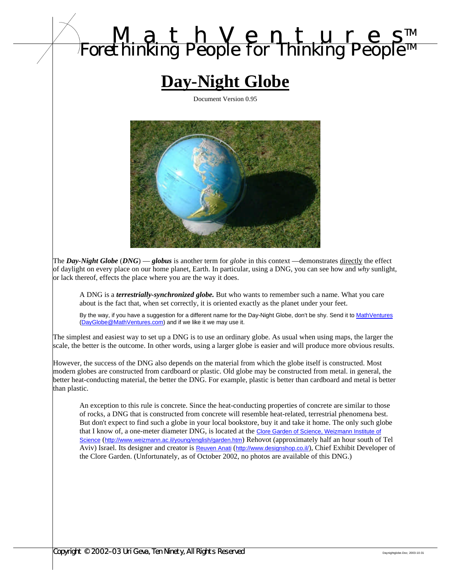# *MathVenture s TM Forethinking People for Thinking People TM*

# **Day-Night Globe**

Document Version 0.95



The *Day-Night Globe* (*DNG*) — *globus* is another term for *globe* in this context —demonstrates directly the effect of daylight on every place on our home planet, Earth. In particular, using a DNG, you can see how and *why* sunlight, or lack thereof, effects the place where you are the way it does.

A DNG is a *terrestrially-synchronized globe.* But who wants to remember such a name. What you care about is the fact that, when set correctly, it is oriented exactly as the planet under your feet.

By the way, if you have a suggestion for a different name for the Day-Night Globe, don't be shy. Send it to MathVentures (DayGlobe@MathVentures.com) and if we like it we may use it.

The simplest and easiest way to set up a DNG is to use an ordinary globe. As usual when using maps, the larger the scale, the better is the outcome. In other words, using a larger globe is easier and will produce more obvious results.

However, the success of the DNG also depends on the material from which the globe itself is constructed. Most modern globes are constructed from cardboard or plastic. Old globe may be constructed from metal. in general, the better heat-conducting material, the better the DNG. For example, plastic is better than cardboard and metal is better than plastic.

An exception to this rule is concrete. Since the heat-conducting properties of concrete are similar to those of rocks, a DNG that is constructed from concrete will resemble heat-related, terrestrial phenomena best. But don't expect to find such a globe in your local bookstore, buy it and take it home. The only such globe that I know of, a one-meter diameter DNG, is located at the Clore Garden of Science, Weizmann Institute of Science (http://www.weizmann.ac.il/young/english/garden.htm) Rehovot (approximately half an hour south of Tel Aviv) Israel. Its designer and creator is **Reuven Anati** (http://www.designshop.co.il/), Chief Exhibit Developer of the Clore Garden. (Unfortunately, as of October 2002, no photos are available of this DNG.)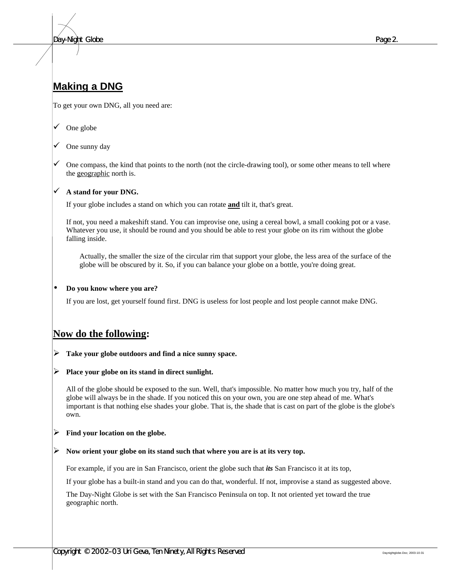*Day-Night Globe Page 2.*

# **Making a DNG**

To get your own DNG, all you need are:

- One globe
- One sunny day
- One compass, the kind that points to the north (not the circle-drawing tool), or some other means to tell where the geographic north is.

#### ¸ **A stand for your DNG.**

If your globe includes a stand on which you can rotate **and** tilt it, that's great.

If not, you need a makeshift stand. You can improvise one, using a cereal bowl, a small cooking pot or a vase. Whatever you use, it should be round and you should be able to rest your globe on its rim without the globe falling inside.

Actually, the smaller the size of the circular rim that support your globe, the less area of the surface of the globe will be obscured by it. So, if you can balance your globe on a bottle, you're doing great.

#### • **Do you know where you are?**

If you are lost, get yourself found first. DNG is useless for lost people and lost people cannot make DNG.

## **Now do the following:**

- ÿ **Take your globe outdoors and find a nice sunny space.**
- ÿ **Place your globe on its stand in direct sunlight.**

All of the globe should be exposed to the sun. Well, that's impossible. No matter how much you try, half of the globe will always be in the shade. If you noticed this on your own, you are one step ahead of me. What's important is that nothing else shades your globe. That is, the shade that is cast on part of the globe is the globe's own.

#### ÿ **Find your location on the globe.**

#### ÿ **Now orient your globe on its stand such that where you are is at its very top.**

For example, if you are in San Francisco, orient the globe such that *its* San Francisco it at its top,

If your globe has a built-in stand and you can do that, wonderful. If not, improvise a stand as suggested above.

The Day-Night Globe is set with the San Francisco Peninsula on top. It not oriented yet toward the true geographic north.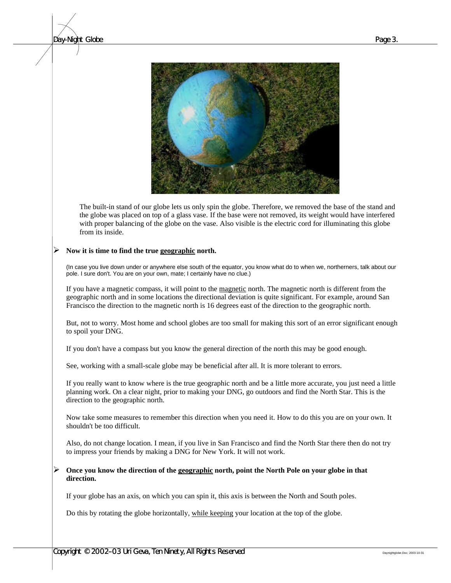#### *Day-Night Globe Page 3.*



The built-in stand of our globe lets us only spin the globe. Therefore, we removed the base of the stand and the globe was placed on top of a glass vase. If the base were not removed, its weight would have interfered with proper balancing of the globe on the vase. Also visible is the electric cord for illuminating this globe from its inside.

#### ÿ **Now it is time to find the true geographic north.**

(In case you live down under or anywhere else south of the equator, you know what do to when we, northerners, talk about our pole. I sure don't. You are on your own, mate; I certainly have no clue.)

If you have a magnetic compass, it will point to the magnetic north. The magnetic north is different from the geographic north and in some locations the directional deviation is quite significant. For example, around San Francisco the direction to the magnetic north is 16 degrees east of the direction to the geographic north.

But, not to worry. Most home and school globes are too small for making this sort of an error significant enough to spoil your DNG.

If you don't have a compass but you know the general direction of the north this may be good enough.

See, working with a small-scale globe may be beneficial after all. It is more tolerant to errors.

If you really want to know where is the true geographic north and be a little more accurate, you just need a little planning work. On a clear night, prior to making your DNG, go outdoors and find the North Star. This is the direction to the geographic north.

Now take some measures to remember this direction when you need it. How to do this you are on your own. It shouldn't be too difficult.

Also, do not change location. I mean, if you live in San Francisco and find the North Star there then do not try to impress your friends by making a DNG for New York. It will not work.

#### ÿ **Once you know the direction of the geographic north, point the North Pole on your globe in that direction.**

If your globe has an axis, on which you can spin it, this axis is between the North and South poles.

Do this by rotating the globe horizontally, while keeping your location at the top of the globe.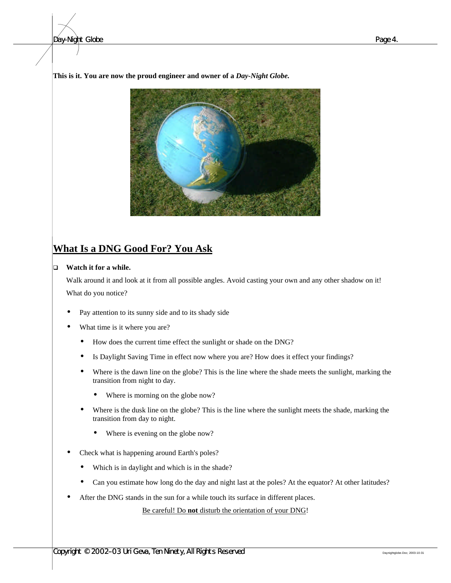**This is it. You are now the proud engineer and owner of a** *Day-Night Globe.*



# **What Is a DNG Good For? You Ask**

#### **Q Watch it for a while.**

Walk around it and look at it from all possible angles. Avoid casting your own and any other shadow on it! What do you notice?

- Pay attention to its sunny side and to its shady side
- What time is it where you are?
	- How does the current time effect the sunlight or shade on the DNG?
	- Is Daylight Saving Time in effect now where you are? How does it effect your findings?
	- Where is the dawn line on the globe? This is the line where the shade meets the sunlight, marking the transition from night to day.
		- Where is morning on the globe now?
	- Where is the dusk line on the globe? This is the line where the sunlight meets the shade, marking the transition from day to night.
		- Where is evening on the globe now?
- Check what is happening around Earth's poles?
	- Which is in daylight and which is in the shade?
	- Can you estimate how long do the day and night last at the poles? At the equator? At other latitudes?
- After the DNG stands in the sun for a while touch its surface in different places.

Be careful! Do **not** disturb the orientation of your DNG!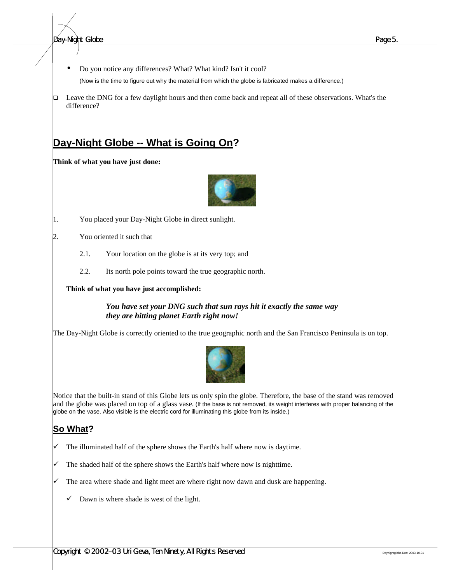• Do you notice any differences? What? What kind? Isn't it cool?

(Now is the time to figure out why the material from which the globe is fabricated makes a difference.)

□ Leave the DNG for a few daylight hours and then come back and repeat all of these observations. What's the difference?

# **Day-Night Globe -- What is Going On?**

**Think of what you have just done:**



- 1. You placed your Day-Night Globe in direct sunlight.
- 2. You oriented it such that
	- 2.1. Your location on the globe is at its very top; and
	- 2.2. Its north pole points toward the true geographic north.

**Think of what you have just accomplished:**

*You have set your DNG such that sun rays hit it exactly the same way they are hitting planet Earth right now!*

The Day-Night Globe is correctly oriented to the true geographic north and the San Francisco Peninsula is on top.



Notice that the built-in stand of this Globe lets us only spin the globe. Therefore, the base of the stand was removed and the globe was placed on top of a glass vase. (If the base is not removed, its weight interferes with proper balancing of the globe on the vase. Also visible is the electric cord for illuminating this globe from its inside.)

## **So What?**

- $\checkmark$  The illuminated half of the sphere shows the Earth's half where now is daytime.
- The shaded half of the sphere shows the Earth's half where now is nighttime.
- The area where shade and light meet are where right now dawn and dusk are happening.
	- Dawn is where shade is west of the light.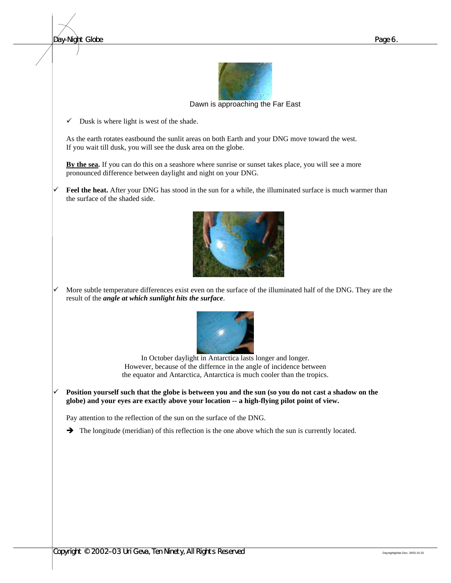*Day-Night Globe Page 6.*



Dawn is approaching the Far East

 $\checkmark$  Dusk is where light is west of the shade.

As the earth rotates eastbound the sunlit areas on both Earth and your DNG move toward the west. If you wait till dusk, you will see the dusk area on the globe.

**By the sea.** If you can do this on a seashore where sunrise or sunset takes place, you will see a more pronounced difference between daylight and night on your DNG.

Feel the heat. After your DNG has stood in the sun for a while, the illuminated surface is much warmer than the surface of the shaded side.



More subtle temperature differences exist even on the surface of the illuminated half of the DNG. They are the result of the *angle at which sunlight hits the surface*.



In October daylight in Antarctica lasts longer and longer. However, because of the differnce in the angle of incidence between the equator and Antarctica, Antarctica is much cooler than the tropics.

Position yourself such that the globe is between you and the sun (so you do not cast a shadow on the **globe) and your eyes are exactly above your location -- a high-flying pilot point of view.**

Pay attention to the reflection of the sun on the surface of the DNG.

 $\rightarrow$  The longitude (meridian) of this reflection is the one above which the sun is currently located.